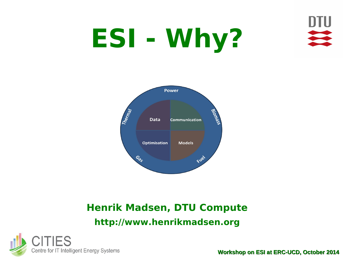

# **ESI - Why?**



#### **Henrik Madsen, DTU Compute http://www.henrikmadsen.org**

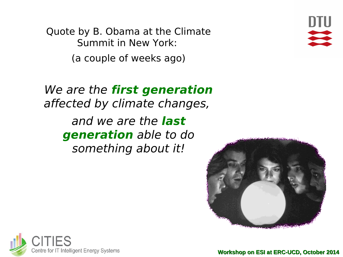Quote by B. Obama at the Climate Summit in New York: (a couple of weeks ago)



We are the **first generation** affected by climate changes, and we are the **last generation** able to do something about it!



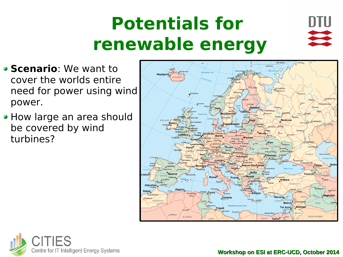## **Potentials for renewable energy**



- **Scenario:** We want to cover the worlds entire need for power using wind power.
- How large an area should be covered by wind turbines?



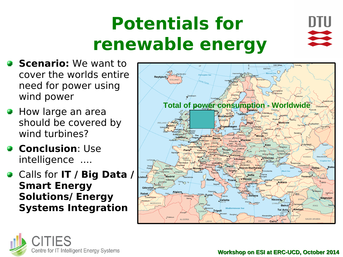## **Potentials for renewable energy**



- **Scenario:** We want to cover the worlds entire need for power using wind power
- **How large an area** should be covered by wind turbines?
- **Conclusion: Use** intelligence ....
- Calls for **IT / Big Data / Smart Energy Solutions/ Energy Systems Integration**



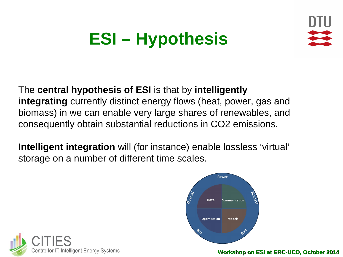

### **ESI – Hypothesis**

#### The **central hypothesis of ESI** is that by **intelligently integrating** currently distinct energy flows (heat, power, gas and biomass) in we can enable very large shares of renewables, and consequently obtain substantial reductions in CO2 emissions.

**Intelligent integration** will (for instance) enable lossless 'virtual' storage on a number of different time scales.



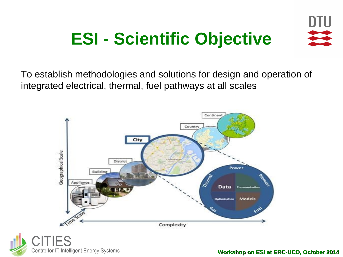### **ESI - Scientific Objective**







**Workshop on ESI at ERC-UCD, October 2014**

DTU

 $\overrightarrow{ }$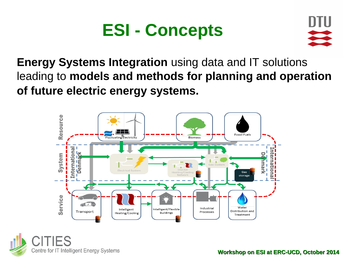### **ESI - Concepts**



**Energy Systems Integration** using data and IT solutions leading to **models and methods for planning and operation of future electric energy systems.**



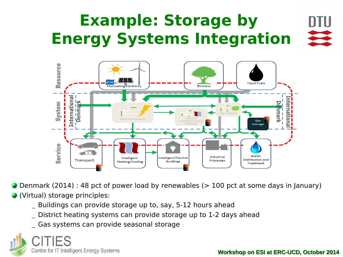#### **Example: Storage by Energy Systems Integration**



Denmark (2014) : 48 pct of power load by renewables (> 100 pct at some days in January)

(Virtual) storage principles:

- Buildings can provide storage up to, say, 5-12 hours ahead
- District heating systems can provide storage up to 1-2 days ahead
- Gas systems can provide seasonal storage

Centre for IT Intelligent Energy Systems